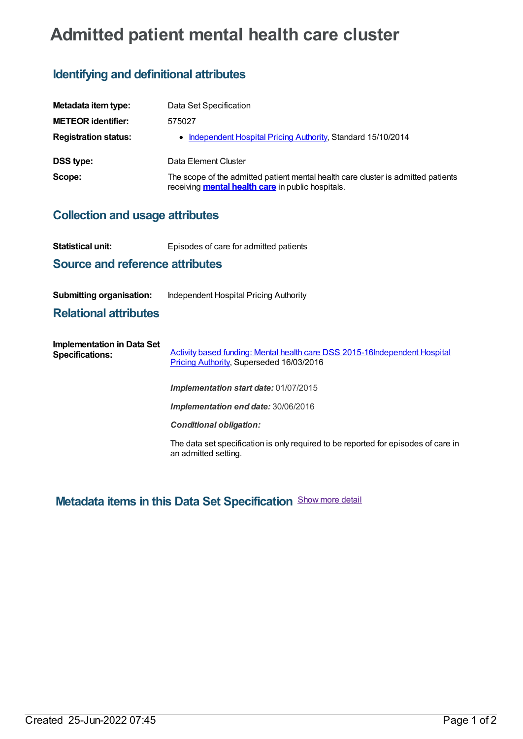## **Admitted patient mental health care cluster**

## **Identifying and definitional attributes**

| Metadata item type:         | Data Set Specification                                                                                                                        |
|-----------------------------|-----------------------------------------------------------------------------------------------------------------------------------------------|
| <b>METEOR identifier:</b>   | 575027                                                                                                                                        |
| <b>Registration status:</b> | • Independent Hospital Pricing Authority, Standard 15/10/2014                                                                                 |
| <b>DSS type:</b>            | Data Element Cluster                                                                                                                          |
| Scope:                      | The scope of the admitted patient mental health care cluster is admitted patients<br>receiving <b>mental health care</b> in public hospitals. |

## **Collection and usage attributes**

| Statistical unit:                                           | Episodes of care for admitted patients                                                                                        |
|-------------------------------------------------------------|-------------------------------------------------------------------------------------------------------------------------------|
| <b>Source and reference attributes</b>                      |                                                                                                                               |
| Submitting organisation:<br><b>Relational attributes</b>    | Independent Hospital Pricing Authority                                                                                        |
| <b>Implementation in Data Set</b><br><b>Specifications:</b> | <b>Activity based funding: Mental health care DSS 2015-16Independent Hospital</b><br>Pricing Authority, Superseded 16/03/2016 |
|                                                             | Implementation start date: 01/07/2015                                                                                         |
|                                                             | Implementation end date: 30/06/2016                                                                                           |

*Conditional obligation:*

The data set specification is only required to be reported for episodes of care in an admitted setting.

**Metadata items in this Data Set Specification** Show more detail